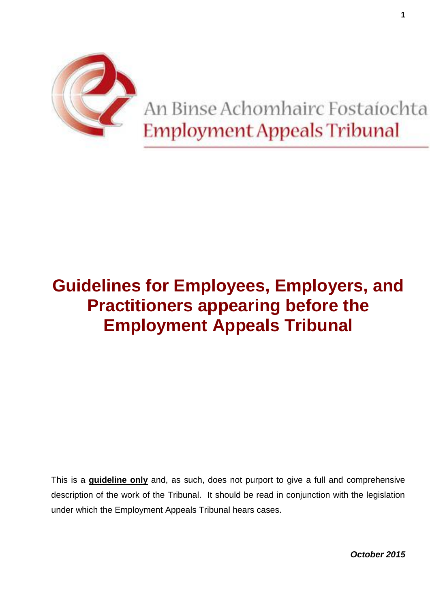

# An Binse Achomhairc Fostaíochta **Employment Appeals Tribunal**

# **Guidelines for Employees, Employers, and Practitioners appearing before the Employment Appeals Tribunal**

This is a **guideline only** and, as such, does not purport to give a full and comprehensive description of the work of the Tribunal. It should be read in conjunction with the legislation under which the Employment Appeals Tribunal hears cases.

*October 2015*

**1**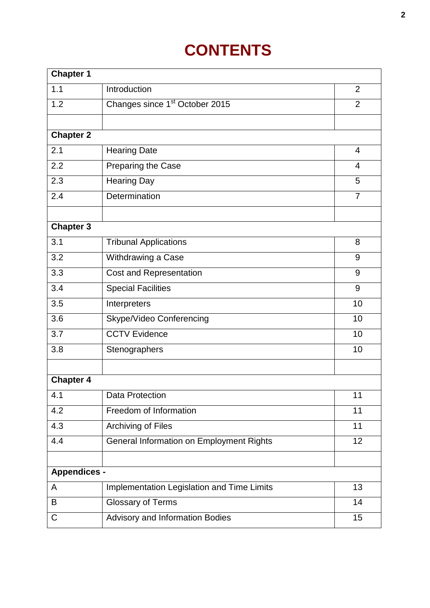# **CONTENTS**

| <b>Chapter 1</b>    |                                            |                |  |  |
|---------------------|--------------------------------------------|----------------|--|--|
| 1.1                 | Introduction                               | 2              |  |  |
| 1.2                 | Changes since 1 <sup>st</sup> October 2015 | $\overline{2}$ |  |  |
|                     |                                            |                |  |  |
| <b>Chapter 2</b>    |                                            |                |  |  |
| 2.1                 | <b>Hearing Date</b>                        | 4              |  |  |
| 2.2                 | Preparing the Case                         | 4              |  |  |
| 2.3                 | <b>Hearing Day</b>                         | 5              |  |  |
| 2.4                 | Determination                              | $\overline{7}$ |  |  |
|                     |                                            |                |  |  |
| <b>Chapter 3</b>    |                                            |                |  |  |
| 3.1                 | <b>Tribunal Applications</b>               | 8              |  |  |
| 3.2                 | Withdrawing a Case                         | 9              |  |  |
| 3.3                 | Cost and Representation                    | 9              |  |  |
| 3.4                 | <b>Special Facilities</b>                  | 9              |  |  |
| 3.5                 | Interpreters                               | 10             |  |  |
| 3.6                 | Skype/Video Conferencing                   | 10             |  |  |
| 3.7                 | <b>CCTV Evidence</b>                       | 10             |  |  |
| 3.8                 | Stenographers                              | 10             |  |  |
|                     |                                            |                |  |  |
| <b>Chapter 4</b>    |                                            |                |  |  |
| 4.1                 | Data Protection                            | 11             |  |  |
| 4.2                 | Freedom of Information                     | 11             |  |  |
| 4.3                 | Archiving of Files                         | 11             |  |  |
| 4.4                 | General Information on Employment Rights   | 12             |  |  |
|                     |                                            |                |  |  |
| <b>Appendices -</b> |                                            |                |  |  |
| A                   | Implementation Legislation and Time Limits | 13             |  |  |
| B                   | <b>Glossary of Terms</b>                   | 14             |  |  |
| C                   | Advisory and Information Bodies            | 15             |  |  |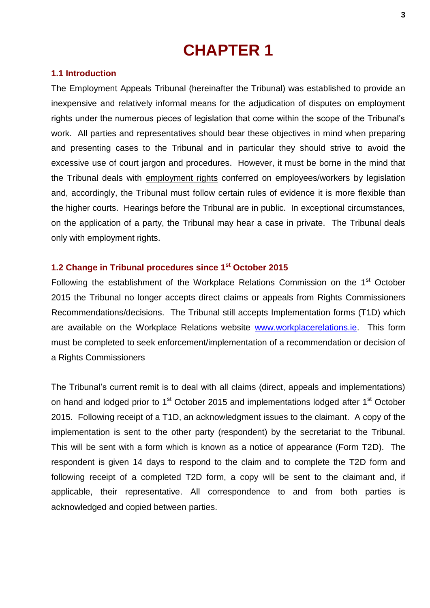# **1.1 Introduction**

The Employment Appeals Tribunal (hereinafter the Tribunal) was established to provide an inexpensive and relatively informal means for the adjudication of disputes on employment rights under the numerous pieces of legislation that come within the scope of the Tribunal's work. All parties and representatives should bear these objectives in mind when preparing and presenting cases to the Tribunal and in particular they should strive to avoid the excessive use of court jargon and procedures. However, it must be borne in the mind that the Tribunal deals with employment rights conferred on employees/workers by legislation and, accordingly, the Tribunal must follow certain rules of evidence it is more flexible than the higher courts. Hearings before the Tribunal are in public. In exceptional circumstances, on the application of a party, the Tribunal may hear a case in private. The Tribunal deals only with employment rights.

# **1.2 Change in Tribunal procedures since 1st October 2015**

Following the establishment of the Workplace Relations Commission on the 1<sup>st</sup> October 2015 the Tribunal no longer accepts direct claims or appeals from Rights Commissioners Recommendations/decisions. The Tribunal still accepts Implementation forms (T1D) which are available on the Workplace Relations website [www.workplacerelations.ie.](http://www.workplacerelations.ie/) This form must be completed to seek enforcement/implementation of a recommendation or decision of a Rights Commissioners

The Tribunal's current remit is to deal with all claims (direct, appeals and implementations) on hand and lodged prior to 1<sup>st</sup> October 2015 and implementations lodged after 1<sup>st</sup> October 2015. Following receipt of a T1D, an acknowledgment issues to the claimant. A copy of the implementation is sent to the other party (respondent) by the secretariat to the Tribunal. This will be sent with a form which is known as a notice of appearance (Form T2D). The respondent is given 14 days to respond to the claim and to complete the T2D form and following receipt of a completed T2D form, a copy will be sent to the claimant and, if applicable, their representative. All correspondence to and from both parties is acknowledged and copied between parties.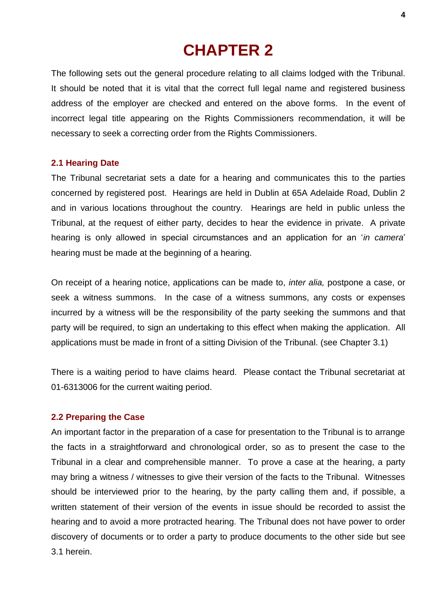The following sets out the general procedure relating to all claims lodged with the Tribunal. It should be noted that it is vital that the correct full legal name and registered business address of the employer are checked and entered on the above forms. In the event of incorrect legal title appearing on the Rights Commissioners recommendation, it will be necessary to seek a correcting order from the Rights Commissioners.

## **2.1 Hearing Date**

The Tribunal secretariat sets a date for a hearing and communicates this to the parties concerned by registered post. Hearings are held in Dublin at 65A Adelaide Road, Dublin 2 and in various locations throughout the country. Hearings are held in public unless the Tribunal, at the request of either party, decides to hear the evidence in private. A private hearing is only allowed in special circumstances and an application for an '*in camera*' hearing must be made at the beginning of a hearing.

On receipt of a hearing notice, applications can be made to, *inter alia,* postpone a case, or seek a witness summons. In the case of a witness summons, any costs or expenses incurred by a witness will be the responsibility of the party seeking the summons and that party will be required, to sign an undertaking to this effect when making the application. All applications must be made in front of a sitting Division of the Tribunal. (see Chapter 3.1)

There is a waiting period to have claims heard. Please contact the Tribunal secretariat at 01-6313006 for the current waiting period.

## **2.2 Preparing the Case**

An important factor in the preparation of a case for presentation to the Tribunal is to arrange the facts in a straightforward and chronological order, so as to present the case to the Tribunal in a clear and comprehensible manner. To prove a case at the hearing, a party may bring a witness / witnesses to give their version of the facts to the Tribunal. Witnesses should be interviewed prior to the hearing, by the party calling them and, if possible, a written statement of their version of the events in issue should be recorded to assist the hearing and to avoid a more protracted hearing. The Tribunal does not have power to order discovery of documents or to order a party to produce documents to the other side but see 3.1 herein.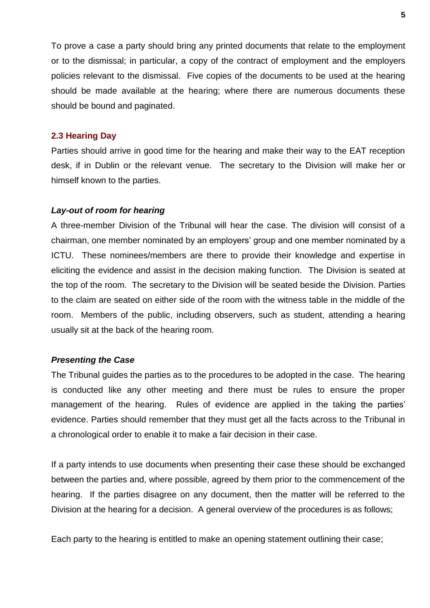To prove a case a party should bring any printed documents that relate to the employment or to the dismissal; in particular, a copy of the contract of employment and the employers policies relevant to the dismissal. Five copies of the documents to be used at the hearing should be made available at the hearing; where there are numerous documents these should be bound and paginated.

#### **2.3 Hearing Day**

Parties should arrive in good time for the hearing and make their way to the EAT reception desk, if in Dublin or the relevant venue. The secretary to the Division will make her or himself known to the parties.

### *Lay-out of room for hearing*

A three-member Division of the Tribunal will hear the case. The division will consist of a chairman, one member nominated by an employers' group and one member nominated by a ICTU. These nominees/members are there to provide their knowledge and expertise in eliciting the evidence and assist in the decision making function. The Division is seated at the top of the room. The secretary to the Division will be seated beside the Division. Parties to the claim are seated on either side of the room with the witness table in the middle of the room. Members of the public, including observers, such as student, attending a hearing usually sit at the back of the hearing room.

### *Presenting the Case*

The Tribunal guides the parties as to the procedures to be adopted in the case. The hearing is conducted like any other meeting and there must be rules to ensure the proper management of the hearing. Rules of evidence are applied in the taking the parties' evidence. Parties should remember that they must get all the facts across to the Tribunal in a chronological order to enable it to make a fair decision in their case.

If a party intends to use documents when presenting their case these should be exchanged between the parties and, where possible, agreed by them prior to the commencement of the hearing. If the parties disagree on any document, then the matter will be referred to the Division at the hearing for a decision. A general overview of the procedures is as follows;

Each party to the hearing is entitled to make an opening statement outlining their case;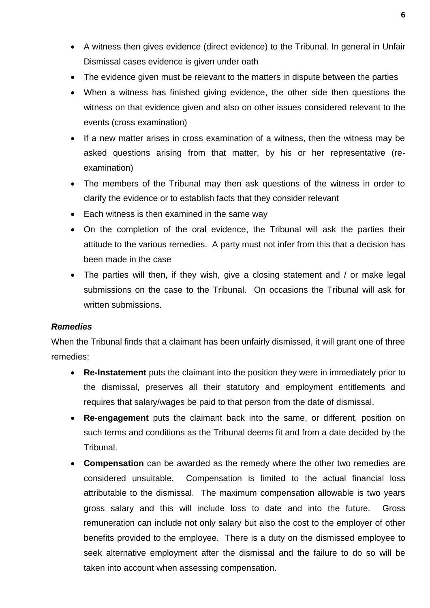- A witness then gives evidence (direct evidence) to the Tribunal. In general in Unfair Dismissal cases evidence is given under oath
- The evidence given must be relevant to the matters in dispute between the parties
- When a witness has finished giving evidence, the other side then questions the witness on that evidence given and also on other issues considered relevant to the events (cross examination)
- If a new matter arises in cross examination of a witness, then the witness may be asked questions arising from that matter, by his or her representative (reexamination)
- The members of the Tribunal may then ask questions of the witness in order to clarify the evidence or to establish facts that they consider relevant
- Each witness is then examined in the same way
- On the completion of the oral evidence, the Tribunal will ask the parties their attitude to the various remedies. A party must not infer from this that a decision has been made in the case
- The parties will then, if they wish, give a closing statement and / or make legal submissions on the case to the Tribunal. On occasions the Tribunal will ask for written submissions.

# *Remedies*

When the Tribunal finds that a claimant has been unfairly dismissed, it will grant one of three remedies;

- **Re-Instatement** puts the claimant into the position they were in immediately prior to the dismissal, preserves all their statutory and employment entitlements and requires that salary/wages be paid to that person from the date of dismissal.
- **Re-engagement** puts the claimant back into the same, or different, position on such terms and conditions as the Tribunal deems fit and from a date decided by the Tribunal.
- **Compensation** can be awarded as the remedy where the other two remedies are considered unsuitable. Compensation is limited to the actual financial loss attributable to the dismissal. The maximum compensation allowable is two years gross salary and this will include loss to date and into the future. Gross remuneration can include not only salary but also the cost to the employer of other benefits provided to the employee. There is a duty on the dismissed employee to seek alternative employment after the dismissal and the failure to do so will be taken into account when assessing compensation.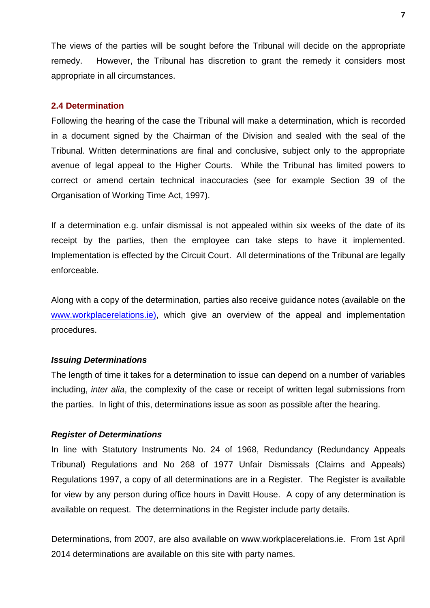The views of the parties will be sought before the Tribunal will decide on the appropriate remedy. However, the Tribunal has discretion to grant the remedy it considers most appropriate in all circumstances.

# **2.4 Determination**

Following the hearing of the case the Tribunal will make a determination, which is recorded in a document signed by the Chairman of the Division and sealed with the seal of the Tribunal. Written determinations are final and conclusive, subject only to the appropriate avenue of legal appeal to the Higher Courts. While the Tribunal has limited powers to correct or amend certain technical inaccuracies (see for example Section 39 of the Organisation of Working Time Act, 1997).

If a determination e.g. unfair dismissal is not appealed within six weeks of the date of its receipt by the parties, then the employee can take steps to have it implemented. Implementation is effected by the Circuit Court. All determinations of the Tribunal are legally enforceable.

Along with a copy of the determination, parties also receive guidance notes (available on the [www.workplacerelations.ie\)](http://www.workplacerelations.ie/), which give an overview of the appeal and implementation procedures.

## *Issuing Determinations*

The length of time it takes for a determination to issue can depend on a number of variables including, *inter alia*, the complexity of the case or receipt of written legal submissions from the parties. In light of this, determinations issue as soon as possible after the hearing.

## *Register of Determinations*

In line with Statutory Instruments No. 24 of 1968, Redundancy (Redundancy Appeals Tribunal) Regulations and No 268 of 1977 Unfair Dismissals (Claims and Appeals) Regulations 1997, a copy of all determinations are in a Register. The Register is available for view by any person during office hours in Davitt House. A copy of any determination is available on request. The determinations in the Register include party details.

Determinations, from 2007, are also available on www.workplacerelations.ie. From 1st April 2014 determinations are available on this site with party names.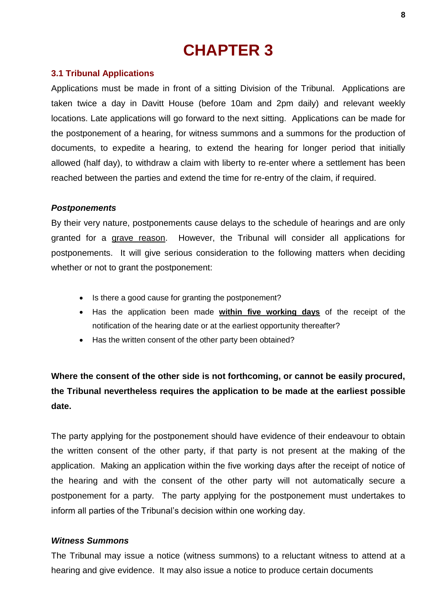# **3.1 Tribunal Applications**

Applications must be made in front of a sitting Division of the Tribunal. Applications are taken twice a day in Davitt House (before 10am and 2pm daily) and relevant weekly locations. Late applications will go forward to the next sitting. Applications can be made for the postponement of a hearing, for witness summons and a summons for the production of documents, to expedite a hearing, to extend the hearing for longer period that initially allowed (half day), to withdraw a claim with liberty to re-enter where a settlement has been reached between the parties and extend the time for re-entry of the claim, if required.

# *Postponements*

By their very nature, postponements cause delays to the schedule of hearings and are only granted for a grave reason. However, the Tribunal will consider all applications for postponements. It will give serious consideration to the following matters when deciding whether or not to grant the postponement:

- Is there a good cause for granting the postponement?
- Has the application been made **within five working days** of the receipt of the notification of the hearing date or at the earliest opportunity thereafter?
- Has the written consent of the other party been obtained?

# **Where the consent of the other side is not forthcoming, or cannot be easily procured, the Tribunal nevertheless requires the application to be made at the earliest possible date.**

The party applying for the postponement should have evidence of their endeavour to obtain the written consent of the other party, if that party is not present at the making of the application. Making an application within the five working days after the receipt of notice of the hearing and with the consent of the other party will not automatically secure a postponement for a party. The party applying for the postponement must undertakes to inform all parties of the Tribunal's decision within one working day.

## *Witness Summons*

The Tribunal may issue a notice (witness summons) to a reluctant witness to attend at a hearing and give evidence. It may also issue a notice to produce certain documents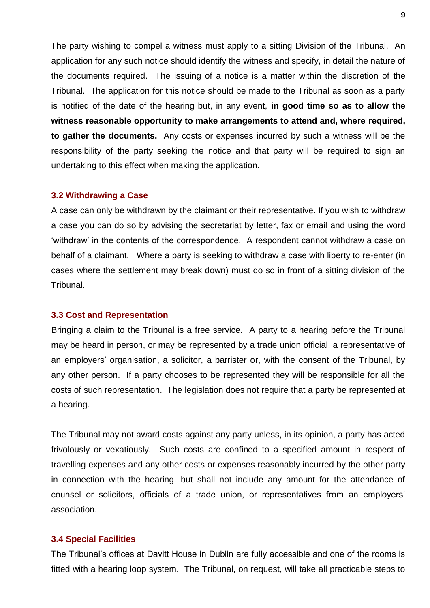The party wishing to compel a witness must apply to a sitting Division of the Tribunal. An application for any such notice should identify the witness and specify, in detail the nature of the documents required. The issuing of a notice is a matter within the discretion of the Tribunal. The application for this notice should be made to the Tribunal as soon as a party is notified of the date of the hearing but, in any event, **in good time so as to allow the witness reasonable opportunity to make arrangements to attend and, where required, to gather the documents.** Any costs or expenses incurred by such a witness will be the responsibility of the party seeking the notice and that party will be required to sign an undertaking to this effect when making the application.

#### **3.2 Withdrawing a Case**

A case can only be withdrawn by the claimant or their representative. If you wish to withdraw a case you can do so by advising the secretariat by letter, fax or email and using the word 'withdraw' in the contents of the correspondence. A respondent cannot withdraw a case on behalf of a claimant. Where a party is seeking to withdraw a case with liberty to re-enter (in cases where the settlement may break down) must do so in front of a sitting division of the Tribunal.

#### **3.3 Cost and Representation**

Bringing a claim to the Tribunal is a free service. A party to a hearing before the Tribunal may be heard in person, or may be represented by a trade union official, a representative of an employers' organisation, a solicitor, a barrister or, with the consent of the Tribunal, by any other person. If a party chooses to be represented they will be responsible for all the costs of such representation. The legislation does not require that a party be represented at a hearing.

The Tribunal may not award costs against any party unless, in its opinion, a party has acted frivolously or vexatiously. Such costs are confined to a specified amount in respect of travelling expenses and any other costs or expenses reasonably incurred by the other party in connection with the hearing, but shall not include any amount for the attendance of counsel or solicitors, officials of a trade union, or representatives from an employers' association.

#### **3.4 Special Facilities**

The Tribunal's offices at Davitt House in Dublin are fully accessible and one of the rooms is fitted with a hearing loop system. The Tribunal, on request, will take all practicable steps to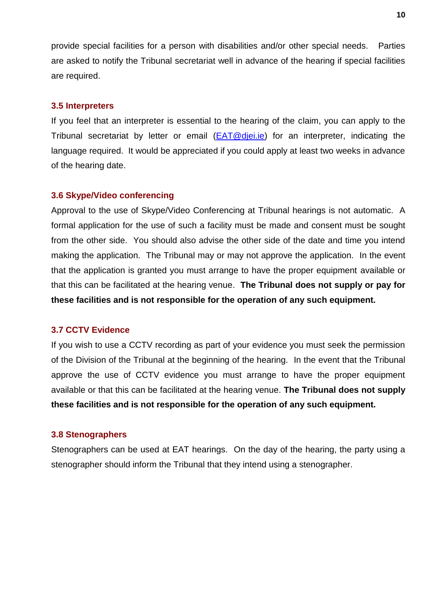provide special facilities for a person with disabilities and/or other special needs. Parties are asked to notify the Tribunal secretariat well in advance of the hearing if special facilities are required.

# **3.5 Interpreters**

If you feel that an interpreter is essential to the hearing of the claim, you can apply to the Tribunal secretariat by letter or email  $(EAT@diei.i.e)$  for an interpreter, indicating the language required. It would be appreciated if you could apply at least two weeks in advance of the hearing date.

# **3.6 Skype/Video conferencing**

Approval to the use of Skype/Video Conferencing at Tribunal hearings is not automatic. A formal application for the use of such a facility must be made and consent must be sought from the other side. You should also advise the other side of the date and time you intend making the application. The Tribunal may or may not approve the application. In the event that the application is granted you must arrange to have the proper equipment available or that this can be facilitated at the hearing venue. **The Tribunal does not supply or pay for these facilities and is not responsible for the operation of any such equipment.** 

# **3.7 CCTV Evidence**

If you wish to use a CCTV recording as part of your evidence you must seek the permission of the Division of the Tribunal at the beginning of the hearing. In the event that the Tribunal approve the use of CCTV evidence you must arrange to have the proper equipment available or that this can be facilitated at the hearing venue. **The Tribunal does not supply these facilities and is not responsible for the operation of any such equipment.** 

# **3.8 Stenographers**

Stenographers can be used at EAT hearings. On the day of the hearing, the party using a stenographer should inform the Tribunal that they intend using a stenographer.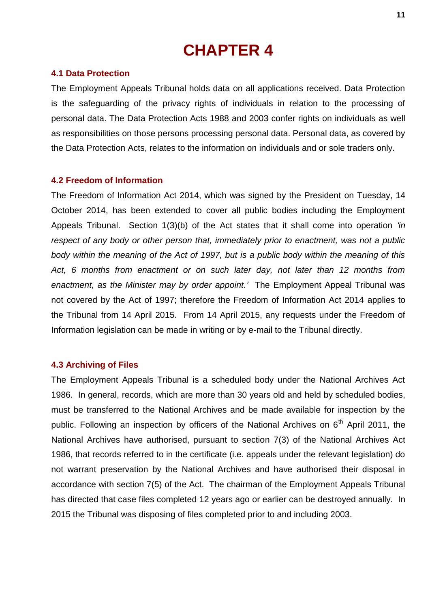## **4.1 Data Protection**

The Employment Appeals Tribunal holds data on all applications received. Data Protection is the safeguarding of the privacy rights of individuals in relation to the processing of personal data. The Data Protection Acts 1988 and 2003 confer rights on individuals as well as responsibilities on those persons processing personal data. Personal data, as covered by the Data Protection Acts, relates to the information on individuals and or sole traders only.

## **4.2 Freedom of Information**

The Freedom of Information Act 2014, which was signed by the President on Tuesday, 14 October 2014, has been extended to cover all public bodies including the Employment Appeals Tribunal. Section 1(3)(b) of the Act states that it shall come into operation *'in respect of any body or other person that, immediately prior to enactment, was not a public body within the meaning of the Act of 1997, but is a public body within the meaning of this Act, 6 months from enactment or on such later day, not later than 12 months from enactment, as the Minister may by order appoint.'* The Employment Appeal Tribunal was not covered by the Act of 1997; therefore the Freedom of Information Act 2014 applies to the Tribunal from 14 April 2015. From 14 April 2015, any requests under the Freedom of Information legislation can be made in writing or by e-mail to the Tribunal directly.

## **4.3 Archiving of Files**

The Employment Appeals Tribunal is a scheduled body under the National Archives Act 1986. In general, records, which are more than 30 years old and held by scheduled bodies, must be transferred to the National Archives and be made available for inspection by the public. Following an inspection by officers of the National Archives on  $6<sup>th</sup>$  April 2011, the National Archives have authorised, pursuant to section 7(3) of the National Archives Act 1986, that records referred to in the certificate (i.e. appeals under the relevant legislation) do not warrant preservation by the National Archives and have authorised their disposal in accordance with section 7(5) of the Act. The chairman of the Employment Appeals Tribunal has directed that case files completed 12 years ago or earlier can be destroyed annually. In 2015 the Tribunal was disposing of files completed prior to and including 2003.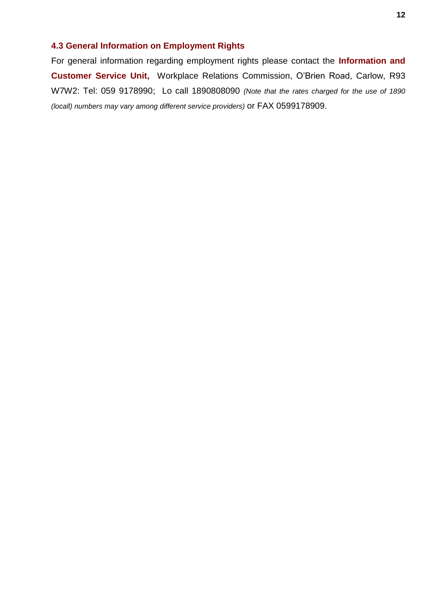# **4.3 General Information on Employment Rights**

For general information regarding employment rights please contact the **Information and Customer Service Unit,** Workplace Relations Commission, O'Brien Road, Carlow, R93 W7W2: Tel: 059 9178990; Lo call 1890808090 *(Note that the rates charged for the use of 1890 (locall) numbers may vary among different service providers)* or FAX 0599178909.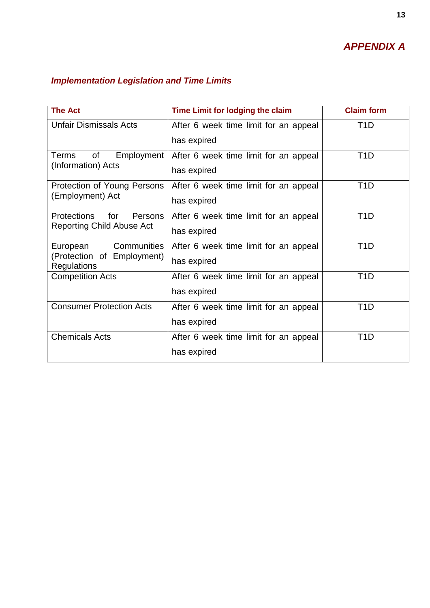# *APPENDIX A*

# *Implementation Legislation and Time Limits*

| <b>The Act</b>                                   | Time Limit for lodging the claim      | <b>Claim form</b> |
|--------------------------------------------------|---------------------------------------|-------------------|
| <b>Unfair Dismissals Acts</b>                    | After 6 week time limit for an appeal | T <sub>1</sub> D  |
|                                                  | has expired                           |                   |
| of<br>Terms<br>Employment                        | After 6 week time limit for an appeal | T1D               |
| (Information) Acts                               | has expired                           |                   |
| Protection of Young Persons                      | After 6 week time limit for an appeal | T <sub>1</sub> D  |
| (Employment) Act                                 | has expired                           |                   |
| <b>Protections</b><br>for<br><b>Persons</b>      | After 6 week time limit for an appeal | T <sub>1</sub> D  |
| <b>Reporting Child Abuse Act</b>                 | has expired                           |                   |
| <b>Communities</b><br>European                   | After 6 week time limit for an appeal | T <sub>1</sub> D  |
| (Protection of Employment)<br><b>Regulations</b> | has expired                           |                   |
| <b>Competition Acts</b>                          | After 6 week time limit for an appeal | T <sub>1</sub> D  |
|                                                  | has expired                           |                   |
| <b>Consumer Protection Acts</b>                  | After 6 week time limit for an appeal | T <sub>1</sub> D  |
|                                                  | has expired                           |                   |
| <b>Chemicals Acts</b>                            | After 6 week time limit for an appeal | T1D               |
|                                                  | has expired                           |                   |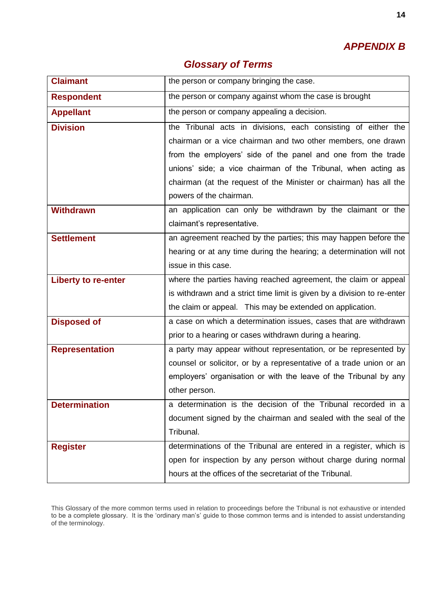# *APPENDIX B*

| <b>Glossary of Terms</b> |  |
|--------------------------|--|
|--------------------------|--|

| <b>Claimant</b>            | the person or company bringing the case.                                |
|----------------------------|-------------------------------------------------------------------------|
| <b>Respondent</b>          | the person or company against whom the case is brought                  |
| <b>Appellant</b>           | the person or company appealing a decision.                             |
| <b>Division</b>            | the Tribunal acts in divisions, each consisting of either the           |
|                            | chairman or a vice chairman and two other members, one drawn            |
|                            | from the employers' side of the panel and one from the trade            |
|                            | unions' side; a vice chairman of the Tribunal, when acting as           |
|                            | chairman (at the request of the Minister or chairman) has all the       |
|                            | powers of the chairman.                                                 |
| <b>Withdrawn</b>           | an application can only be withdrawn by the claimant or the             |
|                            | claimant's representative.                                              |
| <b>Settlement</b>          | an agreement reached by the parties; this may happen before the         |
|                            | hearing or at any time during the hearing; a determination will not     |
|                            | issue in this case.                                                     |
| <b>Liberty to re-enter</b> | where the parties having reached agreement, the claim or appeal         |
|                            | is withdrawn and a strict time limit is given by a division to re-enter |
|                            | the claim or appeal. This may be extended on application.               |
| <b>Disposed of</b>         | a case on which a determination issues, cases that are withdrawn        |
|                            | prior to a hearing or cases withdrawn during a hearing.                 |
| <b>Representation</b>      | a party may appear without representation, or be represented by         |
|                            | counsel or solicitor, or by a representative of a trade union or an     |
|                            | employers' organisation or with the leave of the Tribunal by any        |
|                            | other person.                                                           |
| <b>Determination</b>       | a determination is the decision of the Tribunal recorded in a           |
|                            | document signed by the chairman and sealed with the seal of the         |
|                            | Tribunal.                                                               |
| <b>Register</b>            | determinations of the Tribunal are entered in a register, which is      |
|                            | open for inspection by any person without charge during normal          |
|                            | hours at the offices of the secretariat of the Tribunal.                |

This Glossary of the more common terms used in relation to proceedings before the Tribunal is not exhaustive or intended to be a complete glossary. It is the 'ordinary man's' guide to those common terms and is intended to assist understanding of the terminology.